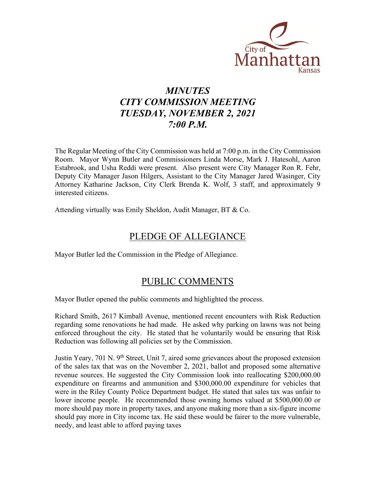

# *MINUTES CITY COMMISSION MEETING TUESDAY, NOVEMBER 2, 2021 7:00 P.M.*

The Regular Meeting of the City Commission was held at 7:00 p.m. in the City Commission Room. Mayor Wynn Butler and Commissioners Linda Morse, Mark J. Hatesohl, Aaron Estabrook, and Usha Reddi were present. Also present were City Manager Ron R. Fehr, Deputy City Manager Jason Hilgers, Assistant to the City Manager Jared Wasinger, City Attorney Katharine Jackson, City Clerk Brenda K. Wolf, 3 staff, and approximately 9 interested citizens.

Attending virtually was Emily Sheldon, Audit Manager, BT & Co.

### PLEDGE OF ALLEGIANCE

Mayor Butler led the Commission in the Pledge of Allegiance.

### PUBLIC COMMENTS

Mayor Butler opened the public comments and highlighted the process.

Richard Smith, 2617 Kimball Avenue, mentioned recent encounters with Risk Reduction regarding some renovations he had made. He asked why parking on lawns was not being enforced throughout the city. He stated that he voluntarily would be ensuring that Risk Reduction was following all policies set by the Commission.

Justin Yeary, 701 N.  $9<sup>th</sup>$  Street, Unit 7, aired some grievances about the proposed extension of the sales tax that was on the November 2, 2021, ballot and proposed some alternative revenue sources. He suggested the City Commission look into reallocating \$200,000.00 expenditure on firearms and ammunition and \$300,000.00 expenditure for vehicles that were in the Riley County Police Department budget. He stated that sales tax was unfair to lower income people. He recommended those owning homes valued at \$500,000.00 or more should pay more in property taxes, and anyone making more than a six-figure income should pay more in City income tax. He said these would be fairer to the more vulnerable, needy, and least able to afford paying taxes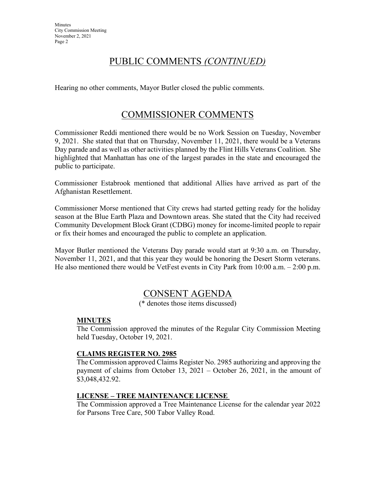# PUBLIC COMMENTS *(CONTINUED)*

Hearing no other comments, Mayor Butler closed the public comments.

### COMMISSIONER COMMENTS

Commissioner Reddi mentioned there would be no Work Session on Tuesday, November 9, 2021. She stated that that on Thursday, November 11, 2021, there would be a Veterans Day parade and as well as other activities planned by the Flint Hills Veterans Coalition. She highlighted that Manhattan has one of the largest parades in the state and encouraged the public to participate.

Commissioner Estabrook mentioned that additional Allies have arrived as part of the Afghanistan Resettlement.

Commissioner Morse mentioned that City crews had started getting ready for the holiday season at the Blue Earth Plaza and Downtown areas. She stated that the City had received Community Development Block Grant (CDBG) money for income-limited people to repair or fix their homes and encouraged the public to complete an application.

Mayor Butler mentioned the Veterans Day parade would start at 9:30 a.m. on Thursday, November 11, 2021, and that this year they would be honoring the Desert Storm veterans. He also mentioned there would be VetFest events in City Park from 10:00 a.m. – 2:00 p.m.

## CONSENT AGENDA

(\* denotes those items discussed)

#### **MINUTES**

The Commission approved the minutes of the Regular City Commission Meeting held Tuesday, October 19, 2021.

### **CLAIMS REGISTER NO. 2985**

The Commission approved Claims Register No. 2985 authorizing and approving the payment of claims from October 13, 2021 – October 26, 2021, in the amount of \$3,048,432.92.

### **LICENSE – TREE MAINTENANCE LICENSE**

The Commission approved a Tree Maintenance License for the calendar year 2022 for Parsons Tree Care, 500 Tabor Valley Road.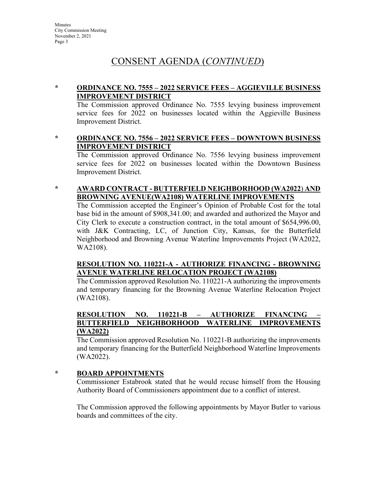# CONSENT AGENDA (*CONTINUED*)

#### **\* ORDINANCE NO. 7555 – 2022 SERVICE FEES – AGGIEVILLE BUSINESS IMPROVEMENT DISTRICT**

The Commission approved Ordinance No. 7555 levying business improvement service fees for 2022 on businesses located within the Aggieville Business Improvement District.

#### **\* ORDINANCE NO. 7556 – 2022 SERVICE FEES – DOWNTOWN BUSINESS IMPROVEMENT DISTRICT**

The Commission approved Ordinance No. 7556 levying business improvement service fees for 2022 on businesses located within the Downtown Business Improvement District.

#### **\* AWARD CONTRACT - BUTTERFIELD NEIGHBORHOOD (WA2022**) **AND BROWNING AVENUE(WA2108) WATERLINE IMPROVEMENTS**

The Commission accepted the Engineer's Opinion of Probable Cost for the total base bid in the amount of \$908,341.00; and awarded and authorized the Mayor and City Clerk to execute a construction contract, in the total amount of \$654,996.00, with J&K Contracting, LC, of Junction City, Kansas, for the Butterfield Neighborhood and Browning Avenue Waterline Improvements Project (WA2022, WA2108).

#### **RESOLUTION NO. 110221-A - AUTHORIZE FINANCING - BROWNING AVENUE WATERLINE RELOCATION PROJECT (WA2108)**

The Commission approved Resolution No. 110221-A authorizing the improvements and temporary financing for the Browning Avenue Waterline Relocation Project (WA2108).

#### **RESOLUTION NO. 110221-B – AUTHORIZE FINANCING – BUTTERFIELD NEIGHBORHOOD WATERLINE IMPROVEMENTS (WA2022)**

The Commission approved Resolution No. 110221-B authorizing the improvements and temporary financing for the Butterfield Neighborhood Waterline Improvements (WA2022).

**\* BOARD APPOINTMENTS**

Commissioner Estabrook stated that he would recuse himself from the Housing Authority Board of Commissioners appointment due to a conflict of interest.

The Commission approved the following appointments by Mayor Butler to various boards and committees of the city.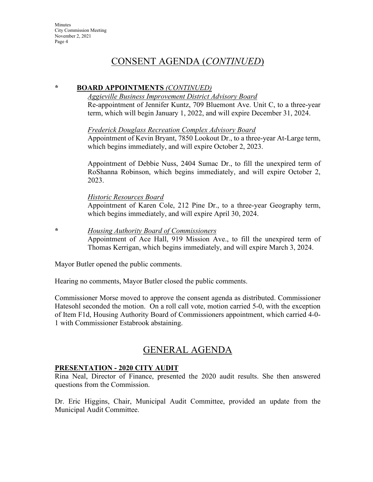## CONSENT AGENDA (*CONTINUED*)

#### **\* BOARD APPOINTMENTS** *(CONTINUED)*

#### *Aggieville Business Improvement District Advisory Board*

Re-appointment of Jennifer Kuntz, 709 Bluemont Ave. Unit C, to a three-year term, which will begin January 1, 2022, and will expire December 31, 2024.

*Frederick Douglass Recreation Complex Advisory Board*

Appointment of Kevin Bryant, 7850 Lookout Dr., to a three-year At-Large term, which begins immediately, and will expire October 2, 2023.

Appointment of Debbie Nuss, 2404 Sumac Dr., to fill the unexpired term of RoShanna Robinson, which begins immediately, and will expire October 2, 2023.

*Historic Resources Board*

Appointment of Karen Cole, 212 Pine Dr., to a three-year Geography term, which begins immediately, and will expire April 30, 2024.

**\*** *Housing Authority Board of Commissioners* Appointment of Ace Hall, 919 Mission Ave., to fill the unexpired term of Thomas Kerrigan, which begins immediately, and will expire March 3, 2024.

Mayor Butler opened the public comments.

Hearing no comments, Mayor Butler closed the public comments.

Commissioner Morse moved to approve the consent agenda as distributed. Commissioner Hatesohl seconded the motion. On a roll call vote, motion carried 5-0, with the exception of Item F1d, Housing Authority Board of Commissioners appointment, which carried 4-0- 1 with Commissioner Estabrook abstaining.

## GENERAL AGENDA

### **PRESENTATION - 2020 CITY AUDIT**

Rina Neal, Director of Finance, presented the 2020 audit results. She then answered questions from the Commission.

Dr. Eric Higgins, Chair, Municipal Audit Committee, provided an update from the Municipal Audit Committee.